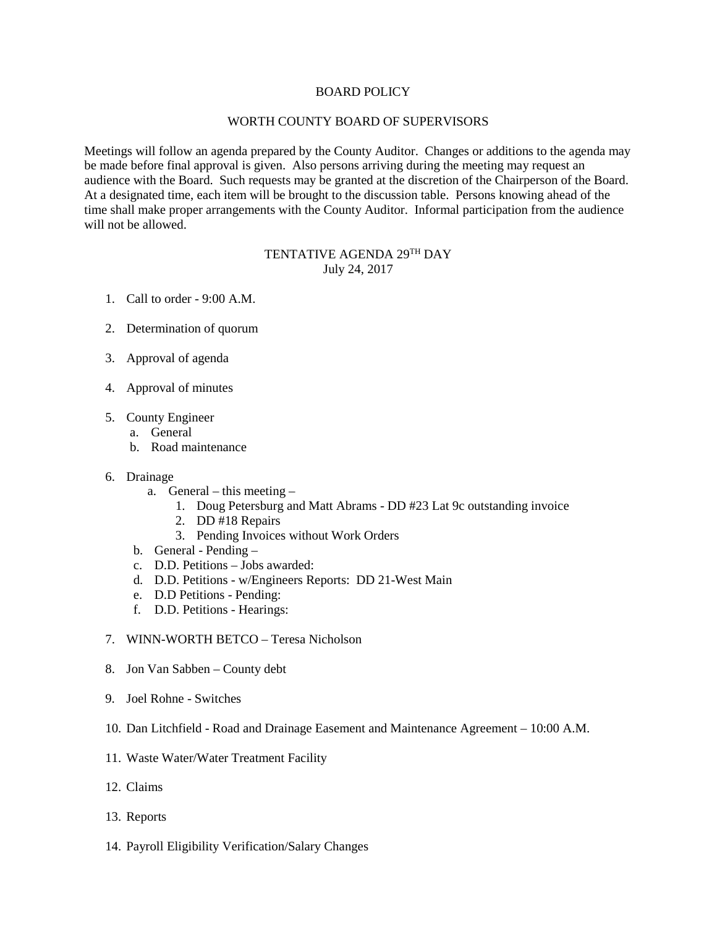## BOARD POLICY

## WORTH COUNTY BOARD OF SUPERVISORS

Meetings will follow an agenda prepared by the County Auditor. Changes or additions to the agenda may be made before final approval is given. Also persons arriving during the meeting may request an audience with the Board. Such requests may be granted at the discretion of the Chairperson of the Board. At a designated time, each item will be brought to the discussion table. Persons knowing ahead of the time shall make proper arrangements with the County Auditor. Informal participation from the audience will not be allowed.

## TENTATIVE AGENDA 29TH DAY July 24, 2017

- 1. Call to order 9:00 A.M.
- 2. Determination of quorum
- 3. Approval of agenda
- 4. Approval of minutes
- 5. County Engineer
	- a. General
	- b. Road maintenance

## 6. Drainage

- a. General this meeting
	- 1. Doug Petersburg and Matt Abrams DD #23 Lat 9c outstanding invoice
	- 2. DD #18 Repairs
	- 3. Pending Invoices without Work Orders
- b. General Pending –
- c. D.D. Petitions Jobs awarded:
- d. D.D. Petitions w/Engineers Reports: DD 21-West Main
- e. D.D Petitions Pending:
- f. D.D. Petitions Hearings:
- 7. WINN-WORTH BETCO Teresa Nicholson
- 8. Jon Van Sabben County debt
- 9. Joel Rohne Switches
- 10. Dan Litchfield Road and Drainage Easement and Maintenance Agreement 10:00 A.M.
- 11. Waste Water/Water Treatment Facility
- 12. Claims
- 13. Reports
- 14. Payroll Eligibility Verification/Salary Changes